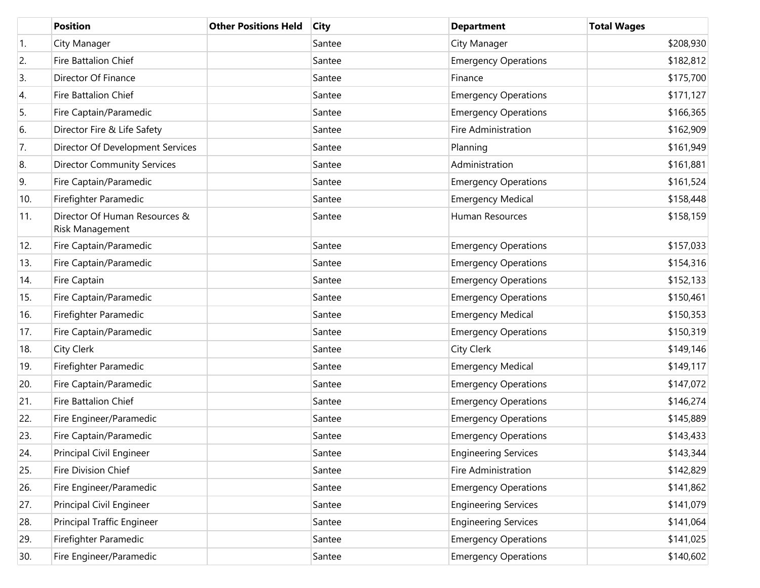|     | <b>Position</b>                                  | <b>Other Positions Held</b> | <b>City</b> | <b>Department</b>           | <b>Total Wages</b> |
|-----|--------------------------------------------------|-----------------------------|-------------|-----------------------------|--------------------|
| 1.  | City Manager                                     |                             | Santee      | City Manager                | \$208,930          |
| 2.  | Fire Battalion Chief                             |                             | Santee      | <b>Emergency Operations</b> | \$182,812          |
| 3.  | Director Of Finance                              |                             | Santee      | Finance                     | \$175,700          |
| 4.  | Fire Battalion Chief                             |                             | Santee      | <b>Emergency Operations</b> | \$171,127          |
| 5.  | Fire Captain/Paramedic                           |                             | Santee      | <b>Emergency Operations</b> | \$166,365          |
| 6.  | Director Fire & Life Safety                      |                             | Santee      | Fire Administration         | \$162,909          |
| 7.  | Director Of Development Services                 |                             | Santee      | Planning                    | \$161,949          |
| 8.  | <b>Director Community Services</b>               |                             | Santee      | Administration              | \$161,881          |
| 9.  | Fire Captain/Paramedic                           |                             | Santee      | <b>Emergency Operations</b> | \$161,524          |
| 10. | Firefighter Paramedic                            |                             | Santee      | <b>Emergency Medical</b>    | \$158,448          |
| 11. | Director Of Human Resources &<br>Risk Management |                             | Santee      | Human Resources             | \$158,159          |
| 12. | Fire Captain/Paramedic                           |                             | Santee      | <b>Emergency Operations</b> | \$157,033          |
| 13. | Fire Captain/Paramedic                           |                             | Santee      | <b>Emergency Operations</b> | \$154,316          |
| 14. | Fire Captain                                     |                             | Santee      | <b>Emergency Operations</b> | \$152,133          |
| 15. | Fire Captain/Paramedic                           |                             | Santee      | <b>Emergency Operations</b> | \$150,461          |
| 16. | Firefighter Paramedic                            |                             | Santee      | <b>Emergency Medical</b>    | \$150,353          |
| 17. | Fire Captain/Paramedic                           |                             | Santee      | <b>Emergency Operations</b> | \$150,319          |
| 18. | City Clerk                                       |                             | Santee      | <b>City Clerk</b>           | \$149,146          |
| 19. | Firefighter Paramedic                            |                             | Santee      | <b>Emergency Medical</b>    | \$149,117          |
| 20. | Fire Captain/Paramedic                           |                             | Santee      | <b>Emergency Operations</b> | \$147,072          |
| 21. | Fire Battalion Chief                             |                             | Santee      | <b>Emergency Operations</b> | \$146,274          |
| 22. | Fire Engineer/Paramedic                          |                             | Santee      | <b>Emergency Operations</b> | \$145,889          |
| 23. | Fire Captain/Paramedic                           |                             | Santee      | <b>Emergency Operations</b> | \$143,433          |
| 24. | Principal Civil Engineer                         |                             | Santee      | <b>Engineering Services</b> | \$143,344          |
| 25. | Fire Division Chief                              |                             | Santee      | Fire Administration         | \$142,829          |
| 26. | Fire Engineer/Paramedic                          |                             | Santee      | <b>Emergency Operations</b> | \$141,862          |
| 27. | Principal Civil Engineer                         |                             | Santee      | <b>Engineering Services</b> | \$141,079          |
| 28. | Principal Traffic Engineer                       |                             | Santee      | <b>Engineering Services</b> | \$141,064          |
| 29. | Firefighter Paramedic                            |                             | Santee      | <b>Emergency Operations</b> | \$141,025          |
| 30. | Fire Engineer/Paramedic                          |                             | Santee      | <b>Emergency Operations</b> | \$140,602          |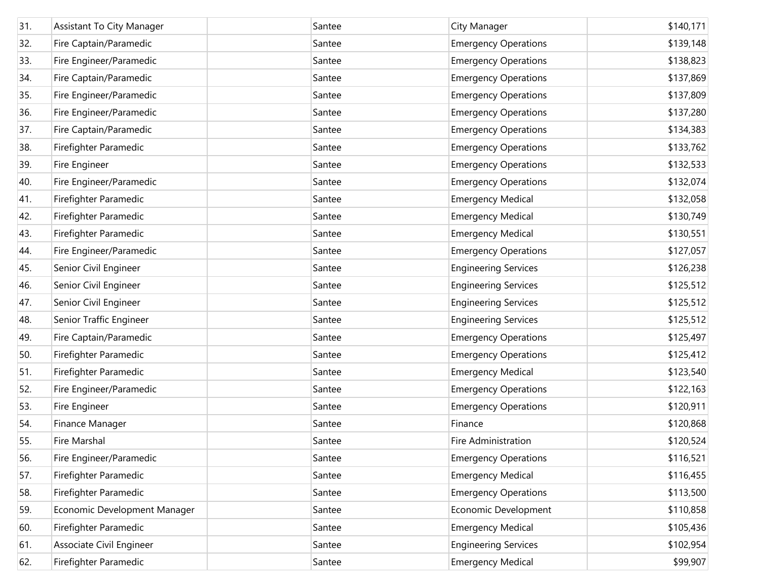| 31. | Assistant To City Manager    | Santee | City Manager                | \$140,171 |
|-----|------------------------------|--------|-----------------------------|-----------|
| 32. | Fire Captain/Paramedic       | Santee | <b>Emergency Operations</b> | \$139,148 |
| 33. | Fire Engineer/Paramedic      | Santee | <b>Emergency Operations</b> | \$138,823 |
| 34. | Fire Captain/Paramedic       | Santee | <b>Emergency Operations</b> | \$137,869 |
| 35. | Fire Engineer/Paramedic      | Santee | <b>Emergency Operations</b> | \$137,809 |
| 36. | Fire Engineer/Paramedic      | Santee | <b>Emergency Operations</b> | \$137,280 |
| 37. | Fire Captain/Paramedic       | Santee | <b>Emergency Operations</b> | \$134,383 |
| 38. | Firefighter Paramedic        | Santee | <b>Emergency Operations</b> | \$133,762 |
| 39. | Fire Engineer                | Santee | <b>Emergency Operations</b> | \$132,533 |
| 40. | Fire Engineer/Paramedic      | Santee | <b>Emergency Operations</b> | \$132,074 |
| 41. | Firefighter Paramedic        | Santee | <b>Emergency Medical</b>    | \$132,058 |
| 42. | Firefighter Paramedic        | Santee | <b>Emergency Medical</b>    | \$130,749 |
| 43. | Firefighter Paramedic        | Santee | <b>Emergency Medical</b>    | \$130,551 |
| 44. | Fire Engineer/Paramedic      | Santee | <b>Emergency Operations</b> | \$127,057 |
| 45. | Senior Civil Engineer        | Santee | <b>Engineering Services</b> | \$126,238 |
| 46. | Senior Civil Engineer        | Santee | <b>Engineering Services</b> | \$125,512 |
| 47. | Senior Civil Engineer        | Santee | <b>Engineering Services</b> | \$125,512 |
| 48. | Senior Traffic Engineer      | Santee | <b>Engineering Services</b> | \$125,512 |
| 49. | Fire Captain/Paramedic       | Santee | <b>Emergency Operations</b> | \$125,497 |
| 50. | Firefighter Paramedic        | Santee | <b>Emergency Operations</b> | \$125,412 |
| 51. | Firefighter Paramedic        | Santee | <b>Emergency Medical</b>    | \$123,540 |
| 52. | Fire Engineer/Paramedic      | Santee | <b>Emergency Operations</b> | \$122,163 |
| 53. | Fire Engineer                | Santee | <b>Emergency Operations</b> | \$120,911 |
| 54. | Finance Manager              | Santee | Finance                     | \$120,868 |
| 55. | Fire Marshal                 | Santee | Fire Administration         | \$120,524 |
| 56. | Fire Engineer/Paramedic      | Santee | <b>Emergency Operations</b> | \$116,521 |
| 57. | Firefighter Paramedic        | Santee | <b>Emergency Medical</b>    | \$116,455 |
| 58. | Firefighter Paramedic        | Santee | <b>Emergency Operations</b> | \$113,500 |
| 59. | Economic Development Manager | Santee | Economic Development        | \$110,858 |
| 60. | Firefighter Paramedic        | Santee | <b>Emergency Medical</b>    | \$105,436 |
| 61. | Associate Civil Engineer     | Santee | <b>Engineering Services</b> | \$102,954 |
| 62. | Firefighter Paramedic        | Santee | <b>Emergency Medical</b>    | \$99,907  |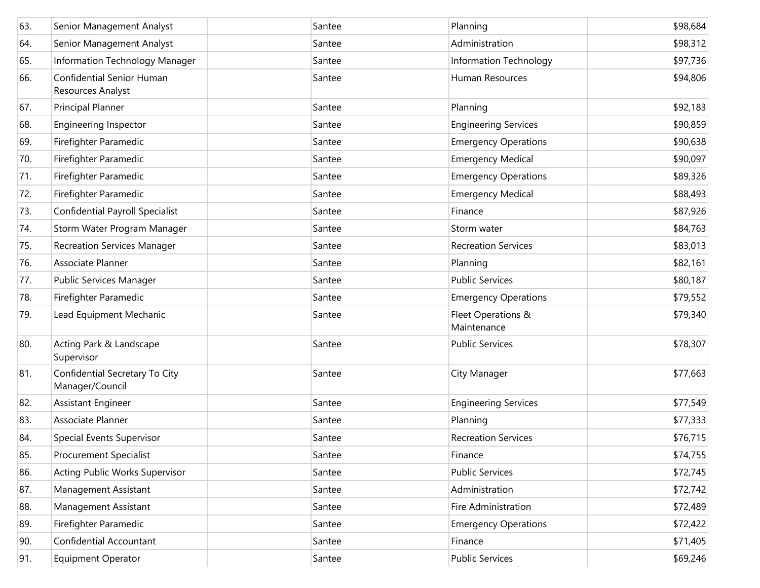| 63. | Senior Management Analyst                         | Santee | Planning                          | \$98,684 |
|-----|---------------------------------------------------|--------|-----------------------------------|----------|
| 64. | Senior Management Analyst                         | Santee | Administration                    | \$98,312 |
| 65. | Information Technology Manager                    | Santee | Information Technology            | \$97,736 |
| 66. | Confidential Senior Human<br>Resources Analyst    | Santee | Human Resources                   | \$94,806 |
| 67. | Principal Planner                                 | Santee | Planning                          | \$92,183 |
| 68. | Engineering Inspector                             | Santee | <b>Engineering Services</b>       | \$90,859 |
| 69. | Firefighter Paramedic                             | Santee | <b>Emergency Operations</b>       | \$90,638 |
| 70. | Firefighter Paramedic                             | Santee | <b>Emergency Medical</b>          | \$90,097 |
| 71. | Firefighter Paramedic                             | Santee | <b>Emergency Operations</b>       | \$89,326 |
| 72. | Firefighter Paramedic                             | Santee | <b>Emergency Medical</b>          | \$88,493 |
| 73. | <b>Confidential Payroll Specialist</b>            | Santee | Finance                           | \$87,926 |
| 74. | Storm Water Program Manager                       | Santee | Storm water                       | \$84,763 |
| 75. | <b>Recreation Services Manager</b>                | Santee | <b>Recreation Services</b>        | \$83,013 |
| 76. | Associate Planner                                 | Santee | Planning                          | \$82,161 |
| 77. | Public Services Manager                           | Santee | <b>Public Services</b>            | \$80,187 |
| 78. | Firefighter Paramedic                             | Santee | <b>Emergency Operations</b>       | \$79,552 |
| 79. | Lead Equipment Mechanic                           | Santee | Fleet Operations &<br>Maintenance | \$79,340 |
| 80. | Acting Park & Landscape<br>Supervisor             | Santee | <b>Public Services</b>            | \$78,307 |
| 81. | Confidential Secretary To City<br>Manager/Council | Santee | City Manager                      | \$77,663 |
| 82. | Assistant Engineer                                | Santee | <b>Engineering Services</b>       | \$77,549 |
| 83. | Associate Planner                                 | Santee | Planning                          | \$77,333 |
| 84. | Special Events Supervisor                         | Santee | <b>Recreation Services</b>        | \$76,715 |
| 85. | <b>Procurement Specialist</b>                     | Santee | Finance                           | \$74,755 |
| 86. | <b>Acting Public Works Supervisor</b>             | Santee | <b>Public Services</b>            | \$72,745 |
| 87. | Management Assistant                              | Santee | Administration                    | \$72,742 |
| 88. | Management Assistant                              | Santee | Fire Administration               | \$72,489 |
| 89. | Firefighter Paramedic                             | Santee | <b>Emergency Operations</b>       | \$72,422 |
| 90. | Confidential Accountant                           | Santee | Finance                           | \$71,405 |
| 91. | <b>Equipment Operator</b>                         | Santee | <b>Public Services</b>            | \$69,246 |